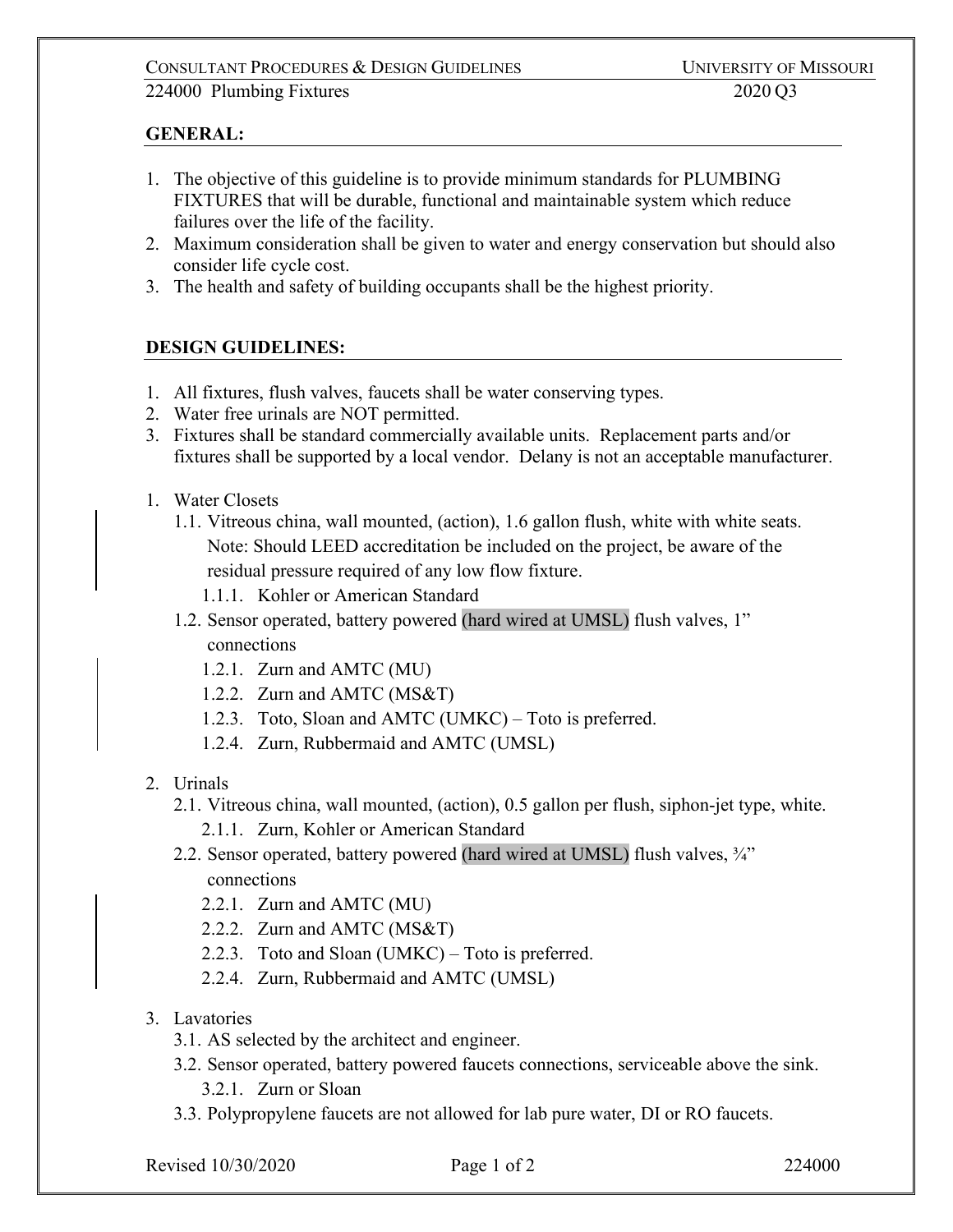# CONSULTANT PROCEDURES & DESIGN GUIDELINES UNIVERSITY OF MISSOURI 224000 Plumbing Fixtures 2020 Q3

# **GENERAL:**

- 1. The objective of this guideline is to provide minimum standards for PLUMBING FIXTURES that will be durable, functional and maintainable system which reduce failures over the life of the facility.
- 2. Maximum consideration shall be given to water and energy conservation but should also consider life cycle cost.
- 3. The health and safety of building occupants shall be the highest priority.

# **DESIGN GUIDELINES:**

- 1. All fixtures, flush valves, faucets shall be water conserving types.
- 2. Water free urinals are NOT permitted.
- 3. Fixtures shall be standard commercially available units. Replacement parts and/or fixtures shall be supported by a local vendor. Delany is not an acceptable manufacturer.
- 1. Water Closets
	- 1.1. Vitreous china, wall mounted, (action), 1.6 gallon flush, white with white seats. Note: Should LEED accreditation be included on the project, be aware of the residual pressure required of any low flow fixture.
		- 1.1.1. Kohler or American Standard
	- 1.2. Sensor operated, battery powered (hard wired at UMSL) flush valves, 1" connections
		- 1.2.1. Zurn and AMTC (MU)
		- 1.2.2. Zurn and AMTC (MS&T)
		- 1.2.3. Toto, Sloan and AMTC (UMKC) Toto is preferred.
		- 1.2.4. Zurn, Rubbermaid and AMTC (UMSL)
- 2. Urinals
	- 2.1. Vitreous china, wall mounted, (action), 0.5 gallon per flush, siphon-jet type, white.
		- 2.1.1. Zurn, Kohler or American Standard
	- 2.2. Sensor operated, battery powered (hard wired at UMSL) flush valves, ¾" connections
		- 2.2.1. Zurn and AMTC (MU)
		- 2.2.2. Zurn and AMTC (MS&T)
		- 2.2.3. Toto and Sloan (UMKC) Toto is preferred.
		- 2.2.4. Zurn, Rubbermaid and AMTC (UMSL)
- 3. Lavatories
	- 3.1. AS selected by the architect and engineer.
	- 3.2. Sensor operated, battery powered faucets connections, serviceable above the sink.
		- 3.2.1. Zurn or Sloan
	- 3.3. Polypropylene faucets are not allowed for lab pure water, DI or RO faucets.

Revised 10/30/2020 Page 1 of 2 224000